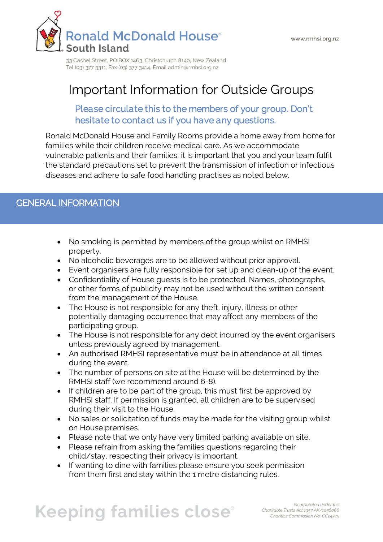

# Important Information for Outside Groups

#### Please circulate this to the members of your group. Don't hesitate to contact us if you have any questions.

Ronald McDonald House and Family Rooms provide a home away from home for families while their children receive medical care. As we accommodate vulnerable patients and their families, it is important that you and your team fulfil the standard precautions set to prevent the transmission of infection or infectious diseases and adhere to safe food handling practises as noted below.

# GENERAL INFORMATION

- No smoking is permitted by members of the group whilst on RMHSI property.
- No alcoholic beverages are to be allowed without prior approval.
- Event organisers are fully responsible for set up and clean-up of the event.
- Confidentiality of House guests is to be protected. Names, photographs, or other forms of publicity may not be used without the written consent from the management of the House.
- The House is not responsible for any theft, injury, illness or other potentially damaging occurrence that may affect any members of the participating group.
- The House is not responsible for any debt incurred by the event organisers unless previously agreed by management.
- An authorised RMHSI representative must be in attendance at all times during the event.
- The number of persons on site at the House will be determined by the RMHSI staff (we recommend around 6-8).
- If children are to be part of the group, this must first be approved by RMHSI staff. If permission is granted, all children are to be supervised during their visit to the House.
- No sales or solicitation of funds may be made for the visiting group whilst on House premises.
- Please note that we only have very limited parking available on site.
- Please refrain from asking the families questions regarding their child/stay, respecting their privacy is important.
- If wanting to dine with families please ensure you seek permission from them first and stay within the 1 metre distancing rules.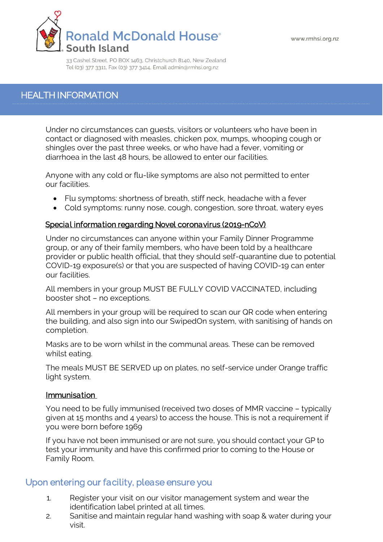

#### HEALTH INFORMATION

Under no circumstances can guests, visitors or volunteers who have been in contact or diagnosed with measles, chicken pox, mumps, whooping cough or shingles over the past three weeks, or who have had a fever, vomiting or diarrhoea in the last 48 hours, be allowed to enter our facilities.

Anyone with any cold or flu-like symptoms are also not permitted to enter our facilities.

- Flu symptoms: shortness of breath, stiff neck, headache with a fever
- Cold symptoms: runny nose, cough, congestion, sore throat, watery eyes

#### Special information regarding Novel coronavirus (2019-nCoV)

Under no circumstances can anyone within your Family Dinner Programme group, or any of their family members, who have been told by a healthcare provider or public health official, that they should self-quarantine due to potential COVID-19 exposure(s) or that you are suspected of having COVID-19 can enter our facilities.

All members in your group MUST BE FULLY COVID VACCINATED, including booster shot – no exceptions.

All members in your group will be required to scan our QR code when entering the building, and also sign into our SwipedOn system, with sanitising of hands on completion.

Masks are to be worn whilst in the communal areas. These can be removed whilst eating.

The meals MUST BE SERVED up on plates, no self-service under Orange traffic light system.

#### Immunisation

You need to be fully immunised (received two doses of MMR vaccine – typically given at 15 months and 4 years) to access the house. This is not a requirement if you were born before 1969

If you have not been immunised or are not sure, you should contact your GP to test your immunity and have this confirmed prior to coming to the House or Family Room.

#### Upon entering our facility, please ensure you

- 1. Register your visit on our visitor management system and wear the identification label printed at all times.
- 2. Sanitise and maintain regular hand washing with soap & water during your visit.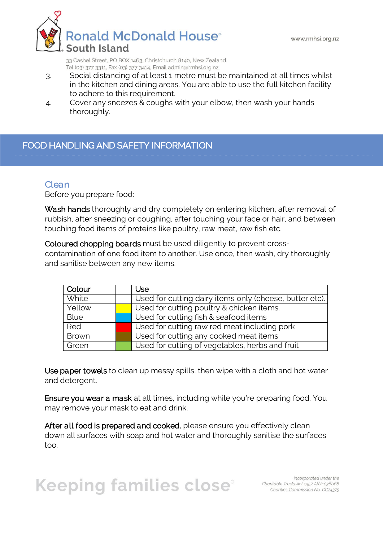

- 3. Social distancing of at least 1 metre must be maintained at all times whilst in the kitchen and dining areas. You are able to use the full kitchen facility to adhere to this requirement.
- 4. Cover any sneezes & coughs with your elbow, then wash your hands thoroughly.

### FOOD HANDLING AND SAFETY INFORMATION

#### Clean

Before you prepare food:

Wash hands thoroughly and dry completely on entering kitchen, after removal of rubbish, after sneezing or coughing, after touching your face or hair, and between touching food items of proteins like poultry, raw meat, raw fish etc.

Coloured chopping boards must be used diligently to prevent crosscontamination of one food item to another. Use once, then wash, dry thoroughly and sanitise between any new items.

| Colour       | Use                                                     |
|--------------|---------------------------------------------------------|
| White        | Used for cutting dairy items only (cheese, butter etc). |
| Yellow       | Used for cutting poultry & chicken items.               |
| <b>Blue</b>  | Used for cutting fish & seafood items                   |
| Red          | Used for cutting raw red meat including pork            |
| <b>Brown</b> | Used for cutting any cooked meat items                  |
| Green        | Used for cutting of vegetables, herbs and fruit         |

Use paper towels to clean up messy spills, then wipe with a cloth and hot water and detergent.

Ensure you wear a mask at all times, including while you're preparing food. You may remove your mask to eat and drink.

After all food is prepared and cooked, please ensure you effectively clean down all surfaces with soap and hot water and thoroughly sanitise the surfaces too.

# ŗ  $\overline{a}$

Incorporated under the Incorporated under the<br>Charitable Trusts Act 1957 AK/1036068<br>Charities Conspiesion Me CC31375 Charities Commission No. CC24375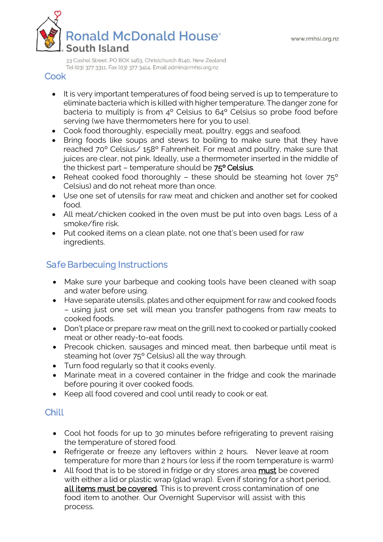

#### Cook

- It is very important temperatures of food being served is up to temperature to eliminate bacteria which is killed with higher temperature. The danger zone for bacteria to multiply is from 4º Celsius to 64º Celsius so probe food before serving (we have thermometers here for you to use).
- Cook food thoroughly, especially meat, poultry, eggs and seafood.
- Bring foods like soups and stews to boiling to make sure that they have reached 70º Celsius/ 158º Fahrenheit. For meat and poultry, make sure that juices are clear, not pink. Ideally, use a thermometer inserted in the middle of the thickest part – temperature should be 75º Celsius.
- Reheat cooked food thoroughly these should be steaming hot (over 75° Celsius) and do not reheat more than once.
- Use one set of utensils for raw meat and chicken and another set for cooked food.
- All meat/chicken cooked in the oven must be put into oven bags. Less of a smoke/fire risk.
- Put cooked items on a clean plate, not one that's been used for raw ingredients.

## Safe Barbecuing Instructions

- Make sure your barbeque and cooking tools have been cleaned with soap and water before using.
- Have separate utensils, plates and other equipment for raw and cooked foods – using just one set will mean you transfer pathogens from raw meats to cooked foods.
- Don't place or prepare raw meat on the grill next to cooked or partially cooked meat or other ready-to-eat foods.
- Precook chicken, sausages and minced meat, then barbeque until meat is steaming hot (over 75º Celsius) all the way through.
- Turn food regularly so that it cooks evenly.
- Marinate meat in a covered container in the fridge and cook the marinade before pouring it over cooked foods.
- Keep all food covered and cool until ready to cook or eat.

### **Chill**

- Cool hot foods for up to 30 minutes before refrigerating to prevent raising the temperature of stored food.
- Refrigerate or freeze any leftovers within 2 hours. Never leave at room temperature for more than 2 hours (or less if the room temperature is warm)
- All food that is to be stored in fridge or dry stores area must be covered with either a lid or plastic wrap (glad wrap). Even if storing for a short period, all items must be covered. This is to prevent cross contamination of one food item to another. Our Overnight Supervisor will assist with this process.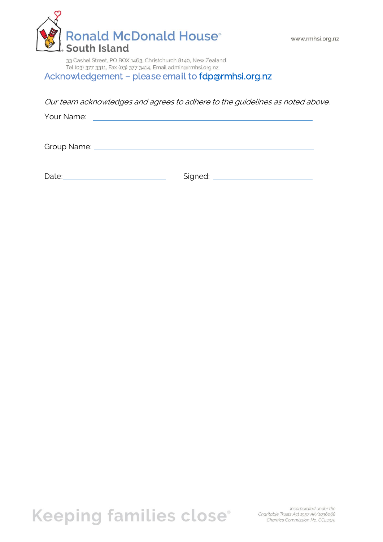

Acknowledgement - please email to fdp@rmhsi.org.nz

Our team acknowledges and agrees to adhere to the guidelines as noted above.

Your Name:

Group Name: <u>Name: Alexander School and Charles Communication</u>

Date: Contract Contract Contract Contract Contract Contract Contract Contract Contract Contract Contract Contract Contract Contract Contract Contract Contract Contract Contract Contract Contract Contract Contract Contract

Keeping families close<sup>®</sup> Charitable Trusts Act 1957 AK/1036068

Incorporated under the